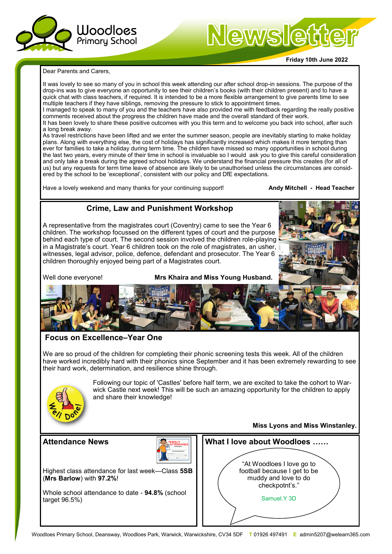

# Newsletter

#### **Friday 10th June 2022**

Dear Parents and Carers,

It was lovely to see so many of you in school this week attending our after school drop-in sessions. The purpose of the drop-ins was to give everyone an opportunity to see their children's books (with their children present) and to have a quick chat with class teachers, if required. It is intended to be a more flexible arrangement to give parents time to see multiple teachers if they have siblings, removing the pressure to stick to appointment times.

I managed to speak to many of you and the teachers have also provided me with feedback regarding the really positive comments received about the progress the children have made and the overall standard of their work.

It has been lovely to share these positive outcomes with you this term and to welcome you back into school, after such a long break away.

As travel restrictions have been lifted and we enter the summer season, people are inevitably starting to make holiday plans. Along with everything else, the cost of holidays has significantly increased which makes it more tempting than ever for families to take a holiday during term time. The children have missed so many opportunities in school during the last two years, every minute of their time in school is invaluable so I would ask you to give this careful consideration and only take a break during the agreed school holidays. We understand the financial pressure this creates (for all of us) but any requests for term time leave of absence are likely to be unauthorised unless the circumstances are considered by the school to be 'exceptional', consistent with our policy and DfE expectations.

Have a lovely weekend and many thanks for your continuing support! **Andy Mitchell - Head Teacher**

#### **Crime, Law and Punishment Workshop**

A representative from the magistrates court (Coventry) came to see the Year 6 children. The workshop focussed on the different types of court and the purpose behind each type of court. The second session involved the children role-playing in a Magistrate's court. Year 6 children took on the role of magistrates, an usher, witnesses, legal advisor, police, defence, defendant and prosecutor. The Year 6 children thoroughly enjoyed being part of a Magistrates court.

Well done everyone! **Mrs Khaira and Miss Young Husband.**



#### **Focus on Excellence–Year One**

We are so proud of the children for completing their phonic screening tests this week. All of the children have worked incredibly hard with their phonics since September and it has been extremely rewarding to see their hard work, determination, and resilience shine through.



Following our topic of 'Castles' before half term, we are excited to take the cohort to Warwick Castle next week! This will be such an amazing opportunity for the children to apply and share their knowledge!

#### **Attendance News**



Highest class attendance for last week—Class **5SB** (**Mrs Barlow**) with **97.2%**!

Whole school attendance to date - **94.8%** (school target 96.5%)

**Miss Lyons and Miss Winstanley.**